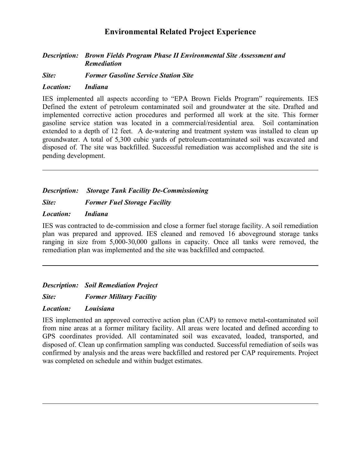#### *Description: Brown Fields Program Phase II Environmental Site Assessment and Remediation*

*Site: Former Gasoline Service Station Site*

#### *Location: Indiana*

IES implemented all aspects according to "EPA Brown Fields Program" requirements. IES Defined the extent of petroleum contaminated soil and groundwater at the site. Drafted and implemented corrective action procedures and performed all work at the site. This former gasoline service station was located in a commercial/residential area. Soil contamination extended to a depth of 12 feet. A de-watering and treatment system was installed to clean up groundwater. A total of 5,300 cubic yards of petroleum-contaminated soil was excavated and disposed of. The site was backfilled. Successful remediation was accomplished and the site is pending development.

### *Description: Storage Tank Facility De-Commissioning*

*Site: Former Fuel Storage Facility*

#### *Location: Indiana*

IES was contracted to de-commission and close a former fuel storage facility. A soil remediation plan was prepared and approved. IES cleaned and removed 16 aboveground storage tanks ranging in size from 5,000-30,000 gallons in capacity. Once all tanks were removed, the remediation plan was implemented and the site was backfilled and compacted.

*Description: Soil Remediation Project*

*Site: Former Military Facility*

*Location: Louisiana*

IES implemented an approved corrective action plan (CAP) to remove metal-contaminated soil from nine areas at a former military facility. All areas were located and defined according to GPS coordinates provided. All contaminated soil was excavated, loaded, transported, and disposed of. Clean up confirmation sampling was conducted. Successful remediation of soils was confirmed by analysis and the areas were backfilled and restored per CAP requirements. Project was completed on schedule and within budget estimates.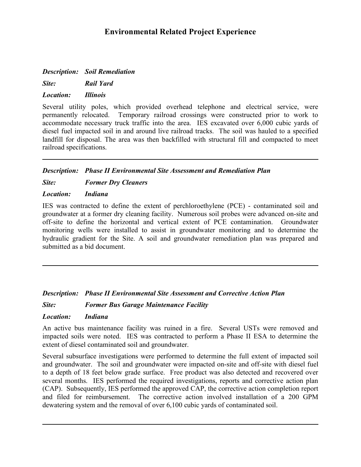*Description: Soil Remediation*

*Site: Rail Yard* 

*Location: Illinois*

Several utility poles, which provided overhead telephone and electrical service, were permanently relocated. Temporary railroad crossings were constructed prior to work to accommodate necessary truck traffic into the area. IES excavated over 6,000 cubic yards of diesel fuel impacted soil in and around live railroad tracks. The soil was hauled to a specified landfill for disposal. The area was then backfilled with structural fill and compacted to meet railroad specifications.

### *Description: Phase II Environmental Site Assessment and Remediation Plan*

*Site: Former Dry Cleaners*

### *Location: Indiana*

IES was contracted to define the extent of perchloroethylene (PCE) - contaminated soil and groundwater at a former dry cleaning facility. Numerous soil probes were advanced on-site and off-site to define the horizontal and vertical extent of PCE contamination. Groundwater monitoring wells were installed to assist in groundwater monitoring and to determine the hydraulic gradient for the Site. A soil and groundwater remediation plan was prepared and submitted as a bid document.

### *Description: Phase II Environmental Site Assessment and Corrective Action Plan*

*Site: Former Bus Garage Maintenance Facility*

### *Location: Indiana*

An active bus maintenance facility was ruined in a fire. Several USTs were removed and impacted soils were noted. IES was contracted to perform a Phase II ESA to determine the extent of diesel contaminated soil and groundwater.

Several subsurface investigations were performed to determine the full extent of impacted soil and groundwater. The soil and groundwater were impacted on-site and off-site with diesel fuel to a depth of 18 feet below grade surface. Free product was also detected and recovered over several months. IES performed the required investigations, reports and corrective action plan (CAP). Subsequently, IES performed the approved CAP, the corrective action completion report and filed for reimbursement. The corrective action involved installation of a 200 GPM dewatering system and the removal of over 6,100 cubic yards of contaminated soil.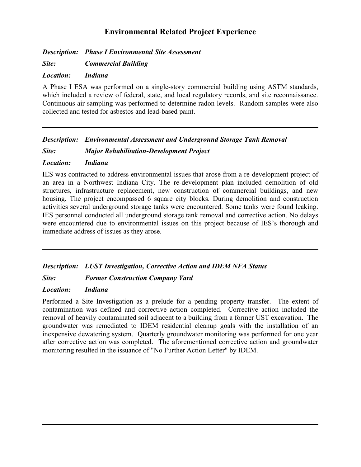*Description: Phase I Environmental Site Assessment*

*Site: Commercial Building*

### *Location: Indiana*

A Phase I ESA was performed on a single-story commercial building using ASTM standards, which included a review of federal, state, and local regulatory records, and site reconnaissance. Continuous air sampling was performed to determine radon levels. Random samples were also collected and tested for asbestos and lead-based paint.

### *Description: Environmental Assessment and Underground Storage Tank Removal*

*Site: Major Rehabilitation-Development Project*

### *Location: Indiana*

IES was contracted to address environmental issues that arose from a re-development project of an area in a Northwest Indiana City. The re-development plan included demolition of old structures, infrastructure replacement, new construction of commercial buildings, and new housing. The project encompassed 6 square city blocks. During demolition and construction activities several underground storage tanks were encountered. Some tanks were found leaking. IES personnel conducted all underground storage tank removal and corrective action. No delays were encountered due to environmental issues on this project because of IES's thorough and immediate address of issues as they arose.

### *Description: LUST Investigation, Corrective Action and IDEM NFA Status*

### *Site: Former Construction Company Yard*

### *Location: Indiana*

Performed a Site Investigation as a prelude for a pending property transfer. The extent of contamination was defined and corrective action completed. Corrective action included the removal of heavily contaminated soil adjacent to a building from a former UST excavation. The groundwater was remediated to IDEM residential cleanup goals with the installation of an inexpensive dewatering system. Quarterly groundwater monitoring was performed for one year after corrective action was completed. The aforementioned corrective action and groundwater monitoring resulted in the issuance of "No Further Action Letter" by IDEM.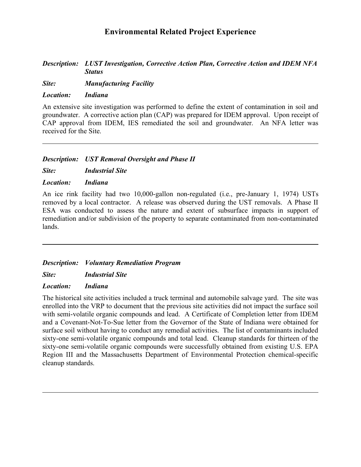### *Description: LUST Investigation, Corrective Action Plan, Corrective Action and IDEM NFA Status*

*Site: Manufacturing Facility*

### *Location: Indiana*

An extensive site investigation was performed to define the extent of contamination in soil and groundwater. A corrective action plan (CAP) was prepared for IDEM approval. Upon receipt of CAP approval from IDEM, IES remediated the soil and groundwater. An NFA letter was received for the Site.

### *Description: UST Removal Oversight and Phase II*

*Site: Industrial Site*

### *Location: Indiana*

An ice rink facility had two 10,000-gallon non-regulated (i.e., pre-January 1, 1974) USTs removed by a local contractor. A release was observed during the UST removals. A Phase II ESA was conducted to assess the nature and extent of subsurface impacts in support of remediation and/or subdivision of the property to separate contaminated from non-contaminated lands.

### *Description: Voluntary Remediation Program*

*Site: Industrial Site*

### *Location: Indiana*

The historical site activities included a truck terminal and automobile salvage yard. The site was enrolled into the VRP to document that the previous site activities did not impact the surface soil with semi-volatile organic compounds and lead. A Certificate of Completion letter from IDEM and a Covenant-Not-To-Sue letter from the Governor of the State of Indiana were obtained for surface soil without having to conduct any remedial activities. The list of contaminants included sixty-one semi-volatile organic compounds and total lead. Cleanup standards for thirteen of the sixty-one semi-volatile organic compounds were successfully obtained from existing U.S. EPA Region III and the Massachusetts Department of Environmental Protection chemical-specific cleanup standards.